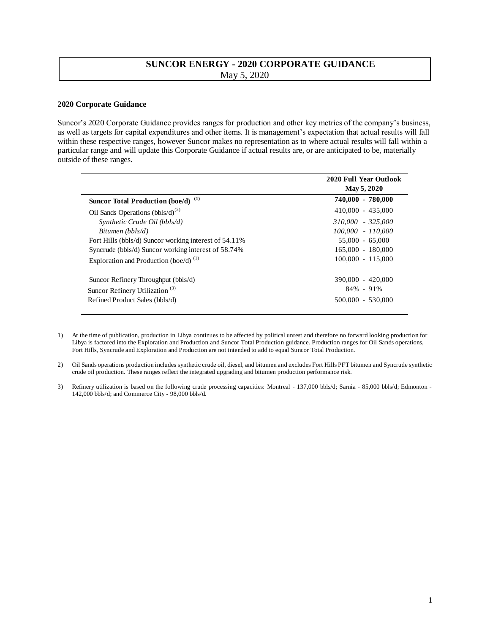## **SUNCOR ENERGY - 2020 CORPORATE GUIDANCE**  May 5, 2020

## **2020 Corporate Guidance**

Suncor's 2020 Corporate Guidance provides ranges for production and other key metrics of the company's business, as well as targets for capital expenditures and other items. It is management's expectation that actual results will fall within these respective ranges, however Suncor makes no representation as to where actual results will fall within a particular range and will update this Corporate Guidance if actual results are, or are anticipated to be, materially outside of these ranges.

|                                                       | <b>2020 Full Year Outlook</b><br>May 5, 2020 |
|-------------------------------------------------------|----------------------------------------------|
| $\bf(1)$<br><b>Suncor Total Production (boe/d)</b>    | 740,000 - 780,000                            |
| Oil Sands Operations $(bbls/d)^{(2)}$                 | $410,000 - 435,000$                          |
| Synthetic Crude Oil (bbls/d)                          | 310.000 - 325.000                            |
| Bitumen (bbls/d)                                      | 100.000 - 110.000                            |
| Fort Hills (bbls/d) Suncor working interest of 54.11% | $55.000 - 65.000$                            |
| Syncrude (bbls/d) Suncor working interest of 58.74%   | 165,000 - 180,000                            |
| Exploration and Production (boe/d) $^{(1)}$           | $100,000 - 115,000$                          |
| Suncor Refinery Throughput (bbls/d)                   | 390,000 - 420,000                            |
| Suncor Refinery Utilization <sup>(3)</sup>            | $84\% - 91\%$                                |
| Refined Product Sales (bbls/d)                        | 500,000 - 530,000                            |

- 1) At the time of publication, production in Libya continues to be affected by political unrest and therefore no forward looking production for Libya is factored into the Exploration and Production and Suncor Total Production guidance. Production ranges for Oil Sands operations, Fort Hills, Syncrude and Exploration and Production are not intended to add to equal Suncor Total Production.
- 2) Oil Sands operations production includes synthetic crude oil, diesel, and bitumen and excludes Fort Hills PFT bitumen and Syncrude synthetic crude oil production. These ranges reflect the integrated upgrading and bitumen production performance risk.
- 3) Refinery utilization is based on the following crude processing capacities: Montreal 137,000 bbls/d; Sarnia 85,000 bbls/d; Edmonton 142,000 bbls/d; and Commerce City - 98,000 bbls/d.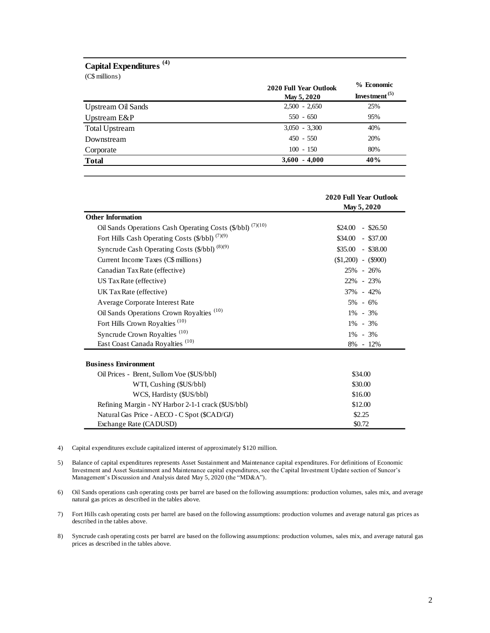## **Capital Expenditures (4)**

| Capital Expenditures <sup>(4)</sup><br>(C\$ millions) |                                       |                                |
|-------------------------------------------------------|---------------------------------------|--------------------------------|
|                                                       | 2020 Full Year Outlook<br>May 5, 2020 | % Economic<br>Investment $(5)$ |
| <b>Upstream Oil Sands</b>                             | $2,500 - 2,650$                       | 25%                            |
| Upstream E&P                                          | $550 - 650$                           | 95%                            |
| <b>Total Upstream</b>                                 | $3,050 - 3,300$                       | 40%                            |
| Downstream                                            | $450 - 550$                           | 20%                            |
| Corporate                                             | $100 - 150$                           | 80%                            |
| <b>Total</b>                                          | $3,600 - 4,000$                       | 40%                            |

|                                                            | <b>2020 Full Year Outlook</b> |  |
|------------------------------------------------------------|-------------------------------|--|
|                                                            | May 5, 2020                   |  |
| <b>Other Information</b>                                   |                               |  |
| Oil Sands Operations Cash Operating Costs (\$/bbl) (7)(10) | \$24.00<br>$-$ \$26.50        |  |
| Fort Hills Cash Operating Costs (\$/bbl) <sup>(7)(9)</sup> | $$34.00 - $37.00$             |  |
| Syncrude Cash Operating Costs (\$/bbl) (8)(9)              | $$35.00 - $38.00$             |  |
| Current Income Taxes (C\$ millions)                        | $$1,200$ - $$900$             |  |
| Canadian Tax Rate (effective)                              | 25% - 26%                     |  |
| US Tax Rate (effective)                                    | 22% - 23%                     |  |
| UK Tax Rate (effective)                                    | 37% - 42%                     |  |
| Average Corporate Interest Rate                            | $5\% - 6\%$                   |  |
| Oil Sands Operations Crown Royalties <sup>(10)</sup>       | $1\% - 3\%$                   |  |
| Fort Hills Crown Royalties <sup>(10)</sup>                 | $1\% - 3\%$                   |  |
| Syncrude Crown Royalties <sup>(10)</sup>                   | $1\% - 3\%$                   |  |
| East Coast Canada Royalties <sup>(10)</sup>                | 8% - 12%                      |  |
| <b>Business Environment</b>                                |                               |  |
| Oil Prices - Brent, Sullom Voe (\$US/bbl)                  | \$34.00                       |  |
| WTI, Cushing (\$US/bbl)                                    | \$30.00                       |  |
| WCS, Hardisty (\$US/bbl)                                   | \$16.00                       |  |
| Refining Margin - NY Harbor 2-1-1 crack (\$US/bbl)         | \$12.00                       |  |
| Natural Gas Price - AECO - C Spot (\$CAD/GJ)               | \$2.25                        |  |
| Exchange Rate (CADUSD)                                     | \$0.72                        |  |

- 4) Capital expenditures exclude capitalized interest of approximately \$120 million.
- 5) Balance of capital expenditures represents Asset Sustainment and Maintenance capital expenditures. For definitions of Economic Investment and Asset Sustainment and Maintenance capital expenditures, see the Capital Investment Update section of Suncor's Management's Discussion and Analysis dated May 5, 2020 (the "MD&A").
- 6) Oil Sands operations cash operating costs per barrel are based on the following assumptions: production volumes, sales mix, and average natural gas prices as described in the tables above.
- 7) Fort Hills cash operating costs per barrel are based on the following assumptions: production volumes and average natural gas prices as described in the tables above.
- 8) Syncrude cash operating costs per barrel are based on the following assumptions: production volumes, sales mix, and average natural gas prices as described in the tables above.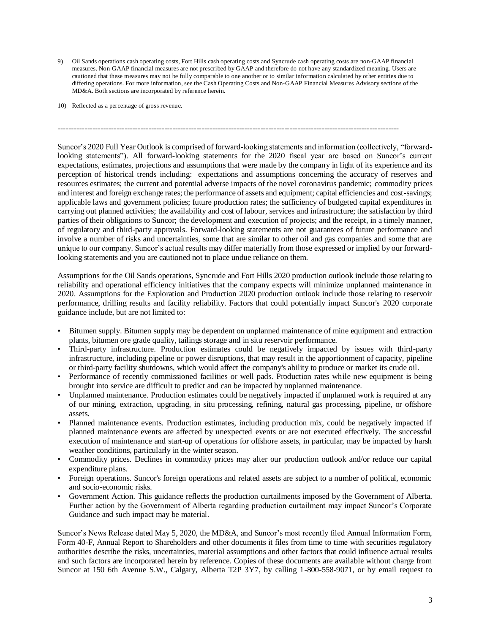9) Oil Sands operations cash operating costs, Fort Hills cash operating costs and Syncrude cash operating costs are non-GAAP financial measures. Non-GAAP financial measures are not prescribed by GAAP and therefore do not have any standardized meaning. Users are cautioned that these measures may not be fully comparable to one another or to similar information calculated by other entities due to differing operations. For more information, see the Cash Operating Costs and Non-GAAP Financial Measures Advisory sections of the MD&A. Both sections are incorporated by reference herein.

--------------------------------------------------------------------------------------------------------------------------------

10) Reflected as a percentage of gross revenue.

Suncor's 2020 Full Year Outlook is comprised of forward-looking statements and information (collectively, "forwardlooking statements"). All forward-looking statements for the 2020 fiscal year are based on Suncor's current expectations, estimates, projections and assumptions that were made by the company in light of its experience and its perception of historical trends including: expectations and assumptions concerning the accuracy of reserves and resources estimates; the current and potential adverse impacts of the novel coronavirus pandemic; commodity prices and interest and foreign exchange rates; the performance of assets and equipment; capital efficiencies and cost-savings; applicable laws and government policies; future production rates; the sufficiency of budgeted capital expenditures in carrying out planned activities; the availability and cost of labour, services and infrastructure; the satisfaction by third parties of their obligations to Suncor; the development and execution of projects; and the receipt, in a timely manner, of regulatory and third-party approvals. Forward-looking statements are not guarantees of future performance and involve a number of risks and uncertainties, some that are similar to other oil and gas companies and some that are unique to our company. Suncor's actual results may differ materially from those expressed or implied by our forwardlooking statements and you are cautioned not to place undue reliance on them.

Assumptions for the Oil Sands operations, Syncrude and Fort Hills 2020 production outlook include those relating to reliability and operational efficiency initiatives that the company expects will minimize unplanned maintenance in 2020. Assumptions for the Exploration and Production 2020 production outlook include those relating to reservoir performance, drilling results and facility reliability. Factors that could potentially impact Suncor's 2020 corporate guidance include, but are not limited to:

- Bitumen supply. Bitumen supply may be dependent on unplanned maintenance of mine equipment and extraction plants, bitumen ore grade quality, tailings storage and in situ reservoir performance.
- Third-party infrastructure. Production estimates could be negatively impacted by issues with third-party infrastructure, including pipeline or power disruptions, that may result in the apportionment of capacity, pipeline or third-party facility shutdowns, which would affect the company's ability to produce or market its crude oil.
- Performance of recently commissioned facilities or well pads. Production rates while new equipment is being brought into service are difficult to predict and can be impacted by unplanned maintenance.
- Unplanned maintenance. Production estimates could be negatively impacted if unplanned work is required at any of our mining, extraction, upgrading, in situ processing, refining, natural gas processing, pipeline, or offshore assets.
- Planned maintenance events. Production estimates, including production mix, could be negatively impacted if planned maintenance events are affected by unexpected events or are not executed effectively. The successful execution of maintenance and start-up of operations for offshore assets, in particular, may be impacted by harsh weather conditions, particularly in the winter season.
- Commodity prices. Declines in commodity prices may alter our production outlook and/or reduce our capital expenditure plans.
- Foreign operations. Suncor's foreign operations and related assets are subject to a number of political, economic and socio-economic risks.
- Government Action. This guidance reflects the production curtailments imposed by the Government of Alberta. Further action by the Government of Alberta regarding production curtailment may impact Suncor's Corporate Guidance and such impact may be material.

Suncor's News Release dated May 5, 2020, the MD&A, and Suncor's most recently filed Annual Information Form, Form 40-F, Annual Report to Shareholders and other documents it files from time to time with securities regulatory authorities describe the risks, uncertainties, material assumptions and other factors that could influence actual results and such factors are incorporated herein by reference. Copies of these documents are available without charge from Suncor at 150 6th Avenue S.W., Calgary, Alberta T2P 3Y7, by calling 1-800-558-9071, or by email request to